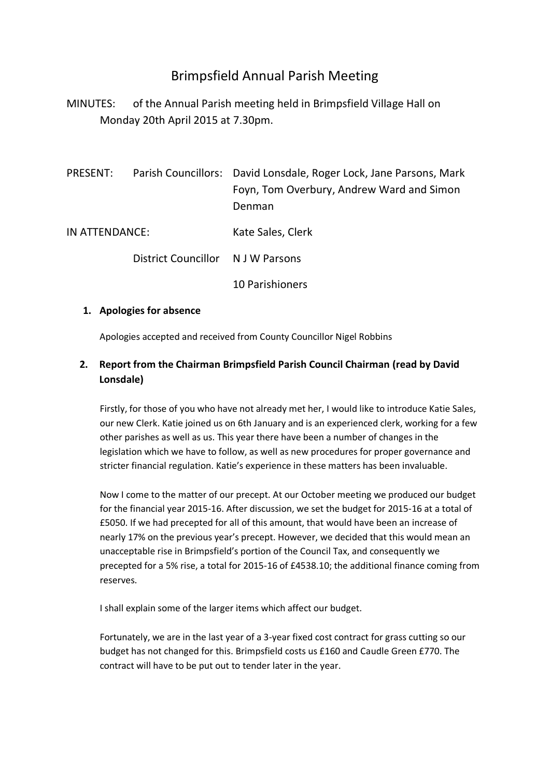# Brimpsfield Annual Parish Meeting

MINUTES: of the Annual Parish meeting held in Brimpsfield Village Hall on Monday 20th April 2015 at 7.30pm.

| PRESENT:       |                                   | Parish Councillors: David Lonsdale, Roger Lock, Jane Parsons, Mark<br>Foyn, Tom Overbury, Andrew Ward and Simon<br>Denman |
|----------------|-----------------------------------|---------------------------------------------------------------------------------------------------------------------------|
| IN ATTENDANCE: |                                   | Kate Sales, Clerk                                                                                                         |
|                | District Councillor N J W Parsons |                                                                                                                           |
|                |                                   | <b>10 Parishioners</b>                                                                                                    |

#### **1. Apologies for absence**

Apologies accepted and received from County Councillor Nigel Robbins

# **2. Report from the Chairman Brimpsfield Parish Council Chairman (read by David Lonsdale)**

Firstly, for those of you who have not already met her, I would like to introduce Katie Sales, our new Clerk. Katie joined us on 6th January and is an experienced clerk, working for a few other parishes as well as us. This year there have been a number of changes in the legislation which we have to follow, as well as new procedures for proper governance and stricter financial regulation. Katie's experience in these matters has been invaluable.

Now I come to the matter of our precept. At our October meeting we produced our budget for the financial year 2015-16. After discussion, we set the budget for 2015-16 at a total of £5050. If we had precepted for all of this amount, that would have been an increase of nearly 17% on the previous year's precept. However, we decided that this would mean an unacceptable rise in Brimpsfield's portion of the Council Tax, and consequently we precepted for a 5% rise, a total for 2015-16 of £4538.10; the additional finance coming from reserves.

I shall explain some of the larger items which affect our budget.

Fortunately, we are in the last year of a 3-year fixed cost contract for grass cutting so our budget has not changed for this. Brimpsfield costs us £160 and Caudle Green £770. The contract will have to be put out to tender later in the year.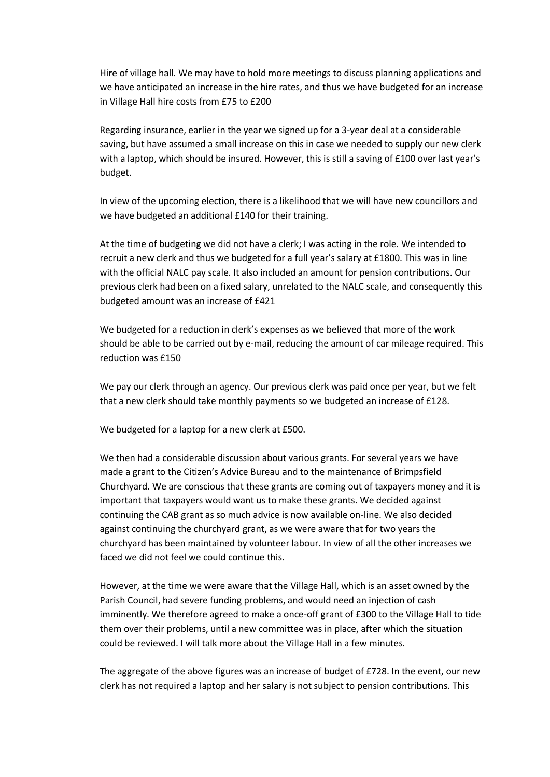Hire of village hall. We may have to hold more meetings to discuss planning applications and we have anticipated an increase in the hire rates, and thus we have budgeted for an increase in Village Hall hire costs from £75 to £200

Regarding insurance, earlier in the year we signed up for a 3-year deal at a considerable saving, but have assumed a small increase on this in case we needed to supply our new clerk with a laptop, which should be insured. However, this is still a saving of £100 over last year's budget.

In view of the upcoming election, there is a likelihood that we will have new councillors and we have budgeted an additional £140 for their training.

At the time of budgeting we did not have a clerk; I was acting in the role. We intended to recruit a new clerk and thus we budgeted for a full year's salary at £1800. This was in line with the official NALC pay scale. It also included an amount for pension contributions. Our previous clerk had been on a fixed salary, unrelated to the NALC scale, and consequently this budgeted amount was an increase of £421

We budgeted for a reduction in clerk's expenses as we believed that more of the work should be able to be carried out by e-mail, reducing the amount of car mileage required. This reduction was £150

We pay our clerk through an agency. Our previous clerk was paid once per year, but we felt that a new clerk should take monthly payments so we budgeted an increase of £128.

We budgeted for a laptop for a new clerk at £500.

We then had a considerable discussion about various grants. For several years we have made a grant to the Citizen's Advice Bureau and to the maintenance of Brimpsfield Churchyard. We are conscious that these grants are coming out of taxpayers money and it is important that taxpayers would want us to make these grants. We decided against continuing the CAB grant as so much advice is now available on-line. We also decided against continuing the churchyard grant, as we were aware that for two years the churchyard has been maintained by volunteer labour. In view of all the other increases we faced we did not feel we could continue this.

However, at the time we were aware that the Village Hall, which is an asset owned by the Parish Council, had severe funding problems, and would need an injection of cash imminently. We therefore agreed to make a once-off grant of £300 to the Village Hall to tide them over their problems, until a new committee was in place, after which the situation could be reviewed. I will talk more about the Village Hall in a few minutes.

The aggregate of the above figures was an increase of budget of £728. In the event, our new clerk has not required a laptop and her salary is not subject to pension contributions. This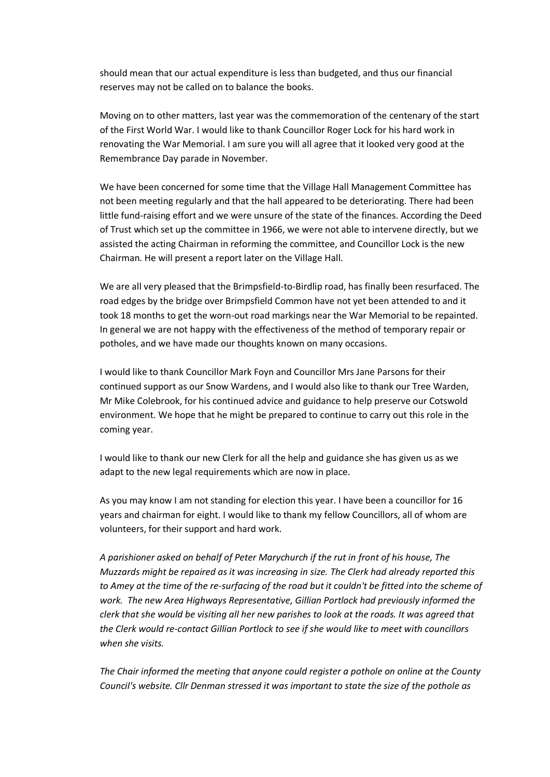should mean that our actual expenditure is less than budgeted, and thus our financial reserves may not be called on to balance the books.

Moving on to other matters, last year was the commemoration of the centenary of the start of the First World War. I would like to thank Councillor Roger Lock for his hard work in renovating the War Memorial. I am sure you will all agree that it looked very good at the Remembrance Day parade in November.

We have been concerned for some time that the Village Hall Management Committee has not been meeting regularly and that the hall appeared to be deteriorating. There had been little fund-raising effort and we were unsure of the state of the finances. According the Deed of Trust which set up the committee in 1966, we were not able to intervene directly, but we assisted the acting Chairman in reforming the committee, and Councillor Lock is the new Chairman. He will present a report later on the Village Hall.

We are all very pleased that the Brimpsfield-to-Birdlip road, has finally been resurfaced. The road edges by the bridge over Brimpsfield Common have not yet been attended to and it took 18 months to get the worn-out road markings near the War Memorial to be repainted. In general we are not happy with the effectiveness of the method of temporary repair or potholes, and we have made our thoughts known on many occasions.

I would like to thank Councillor Mark Foyn and Councillor Mrs Jane Parsons for their continued support as our Snow Wardens, and I would also like to thank our Tree Warden, Mr Mike Colebrook, for his continued advice and guidance to help preserve our Cotswold environment. We hope that he might be prepared to continue to carry out this role in the coming year.

I would like to thank our new Clerk for all the help and guidance she has given us as we adapt to the new legal requirements which are now in place.

As you may know I am not standing for election this year. I have been a councillor for 16 years and chairman for eight. I would like to thank my fellow Councillors, all of whom are volunteers, for their support and hard work.

*A parishioner asked on behalf of Peter Marychurch if the rut in front of his house, The Muzzards might be repaired as it was increasing in size. The Clerk had already reported this to Amey at the time of the re-surfacing of the road but it couldn't be fitted into the scheme of work. The new Area Highways Representative, Gillian Portlock had previously informed the clerk that she would be visiting all her new parishes to look at the roads. It was agreed that the Clerk would re-contact Gillian Portlock to see if she would like to meet with councillors when she visits.*

*The Chair informed the meeting that anyone could register a pothole on online at the County Council's website. Cllr Denman stressed it was important to state the size of the pothole as*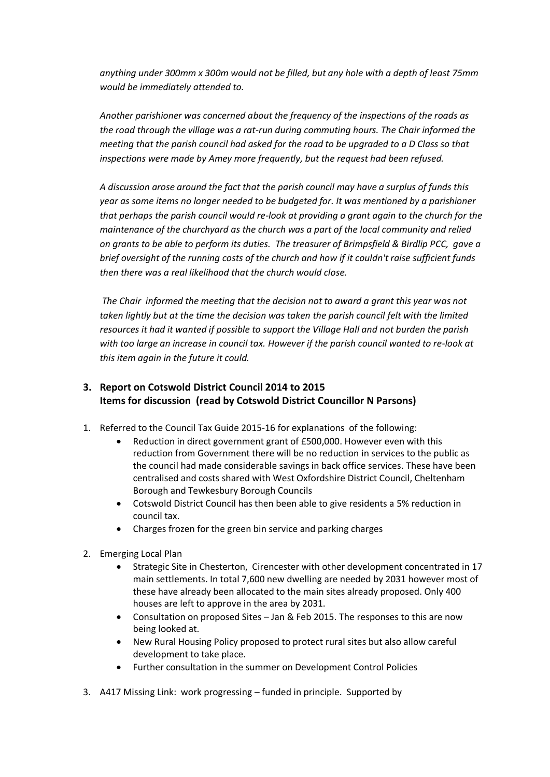*anything under 300mm x 300m would not be filled, but any hole with a depth of least 75mm would be immediately attended to.*

*Another parishioner was concerned about the frequency of the inspections of the roads as the road through the village was a rat-run during commuting hours. The Chair informed the meeting that the parish council had asked for the road to be upgraded to a D Class so that inspections were made by Amey more frequently, but the request had been refused.*

*A discussion arose around the fact that the parish council may have a surplus of funds this year as some items no longer needed to be budgeted for. It was mentioned by a parishioner that perhaps the parish council would re-look at providing a grant again to the church for the maintenance of the churchyard as the church was a part of the local community and relied on grants to be able to perform its duties. The treasurer of Brimpsfield & Birdlip PCC, gave a brief oversight of the running costs of the church and how if it couldn't raise sufficient funds then there was a real likelihood that the church would close.* 

*The Chair informed the meeting that the decision not to award a grant this year was not taken lightly but at the time the decision was taken the parish council felt with the limited resources it had it wanted if possible to support the Village Hall and not burden the parish with too large an increase in council tax. However if the parish council wanted to re-look at this item again in the future it could.*

## **3. Report on Cotswold District Council 2014 to 2015 Items for discussion (read by Cotswold District Councillor N Parsons)**

- 1. Referred to the Council Tax Guide 2015-16 for explanations of the following:
	- Reduction in direct government grant of £500,000. However even with this reduction from Government there will be no reduction in services to the public as the council had made considerable savings in back office services. These have been centralised and costs shared with West Oxfordshire District Council, Cheltenham Borough and Tewkesbury Borough Councils
	- Cotswold District Council has then been able to give residents a 5% reduction in council tax.
	- Charges frozen for the green bin service and parking charges
- 2. Emerging Local Plan
	- Strategic Site in Chesterton, Cirencester with other development concentrated in 17 main settlements. In total 7,600 new dwelling are needed by 2031 however most of these have already been allocated to the main sites already proposed. Only 400 houses are left to approve in the area by 2031.
	- Consultation on proposed Sites Jan & Feb 2015. The responses to this are now being looked at.
	- New Rural Housing Policy proposed to protect rural sites but also allow careful development to take place.
	- Further consultation in the summer on Development Control Policies
- 3. A417 Missing Link: work progressing funded in principle. Supported by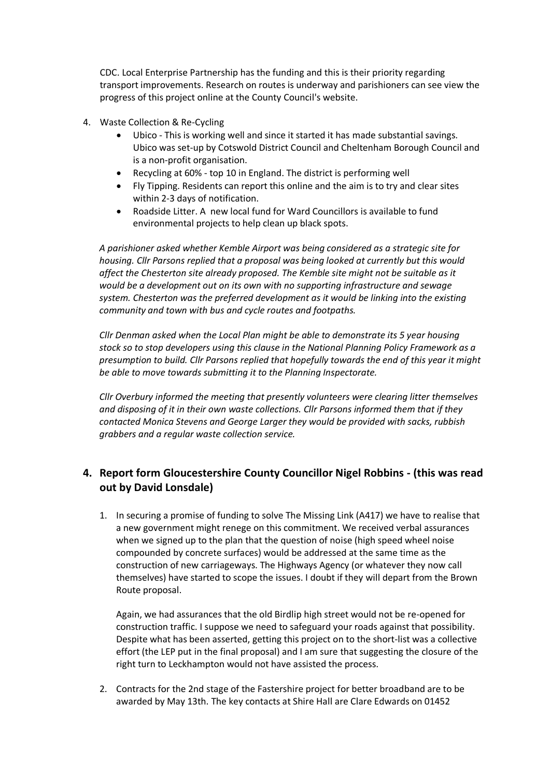CDC. Local Enterprise Partnership has the funding and this is their priority regarding transport improvements. Research on routes is underway and parishioners can see view the progress of this project online at the County Council's website.

- 4. Waste Collection & Re-Cycling
	- Ubico This is working well and since it started it has made substantial savings. Ubico was set-up by Cotswold District Council and Cheltenham Borough Council and is a non-profit organisation.
	- Recycling at 60% top 10 in England. The district is performing well
	- Fly Tipping. Residents can report this online and the aim is to try and clear sites within 2-3 days of notification.
	- Roadside Litter. A new local fund for Ward Councillors is available to fund environmental projects to help clean up black spots.

*A parishioner asked whether Kemble Airport was being considered as a strategic site for housing. Cllr Parsons replied that a proposal was being looked at currently but this would affect the Chesterton site already proposed. The Kemble site might not be suitable as it would be a development out on its own with no supporting infrastructure and sewage system. Chesterton was the preferred development as it would be linking into the existing community and town with bus and cycle routes and footpaths.*

*Cllr Denman asked when the Local Plan might be able to demonstrate its 5 year housing stock so to stop developers using this clause in the National Planning Policy Framework as a presumption to build. Cllr Parsons replied that hopefully towards the end of this year it might be able to move towards submitting it to the Planning Inspectorate.*

*Cllr Overbury informed the meeting that presently volunteers were clearing litter themselves and disposing of it in their own waste collections. Cllr Parsons informed them that if they contacted Monica Stevens and George Larger they would be provided with sacks, rubbish grabbers and a regular waste collection service.* 

## **4. Report form Gloucestershire County Councillor Nigel Robbins - (this was read out by David Lonsdale)**

1. In securing a promise of funding to solve The Missing Link (A417) we have to realise that a new government might renege on this commitment. We received verbal assurances when we signed up to the plan that the question of noise (high speed wheel noise compounded by concrete surfaces) would be addressed at the same time as the construction of new carriageways. The Highways Agency (or whatever they now call themselves) have started to scope the issues. I doubt if they will depart from the Brown Route proposal.

Again, we had assurances that the old Birdlip high street would not be re-opened for construction traffic. I suppose we need to safeguard your roads against that possibility. Despite what has been asserted, getting this project on to the short-list was a collective effort (the LEP put in the final proposal) and I am sure that suggesting the closure of the right turn to Leckhampton would not have assisted the process.

2. Contracts for the 2nd stage of the Fastershire project for better broadband are to be awarded by May 13th. The key contacts at Shire Hall are Clare Edwards on 01452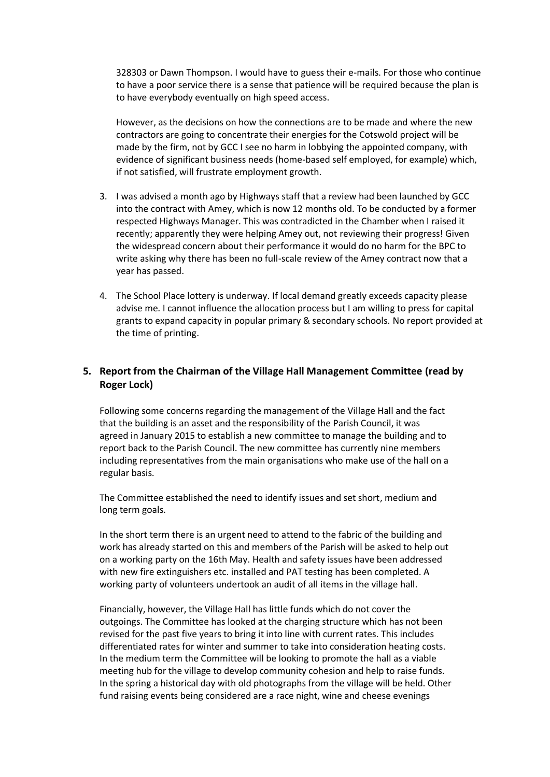328303 or Dawn Thompson. I would have to guess their e-mails. For those who continue to have a poor service there is a sense that patience will be required because the plan is to have everybody eventually on high speed access.

However, as the decisions on how the connections are to be made and where the new contractors are going to concentrate their energies for the Cotswold project will be made by the firm, not by GCC I see no harm in lobbying the appointed company, with evidence of significant business needs (home-based self employed, for example) which, if not satisfied, will frustrate employment growth.

- 3. I was advised a month ago by Highways staff that a review had been launched by GCC into the contract with Amey, which is now 12 months old. To be conducted by a former respected Highways Manager. This was contradicted in the Chamber when I raised it recently; apparently they were helping Amey out, not reviewing their progress! Given the widespread concern about their performance it would do no harm for the BPC to write asking why there has been no full-scale review of the Amey contract now that a year has passed.
- 4. The School Place lottery is underway. If local demand greatly exceeds capacity please advise me. I cannot influence the allocation process but I am willing to press for capital grants to expand capacity in popular primary & secondary schools. No report provided at the time of printing.

### **5. Report from the Chairman of the Village Hall Management Committee (read by Roger Lock)**

Following some concerns regarding the management of the Village Hall and the fact that the building is an asset and the responsibility of the Parish Council, it was agreed in January 2015 to establish a new committee to manage the building and to report back to the Parish Council. The new committee has currently nine members including representatives from the main organisations who make use of the hall on a regular basis.

The Committee established the need to identify issues and set short, medium and long term goals.

In the short term there is an urgent need to attend to the fabric of the building and work has already started on this and members of the Parish will be asked to help out on a working party on the 16th May. Health and safety issues have been addressed with new fire extinguishers etc. installed and PAT testing has been completed. A working party of volunteers undertook an audit of all items in the village hall.

Financially, however, the Village Hall has little funds which do not cover the outgoings. The Committee has looked at the charging structure which has not been revised for the past five years to bring it into line with current rates. This includes differentiated rates for winter and summer to take into consideration heating costs. In the medium term the Committee will be looking to promote the hall as a viable meeting hub for the village to develop community cohesion and help to raise funds. In the spring a historical day with old photographs from the village will be held. Other fund raising events being considered are a race night, wine and cheese evenings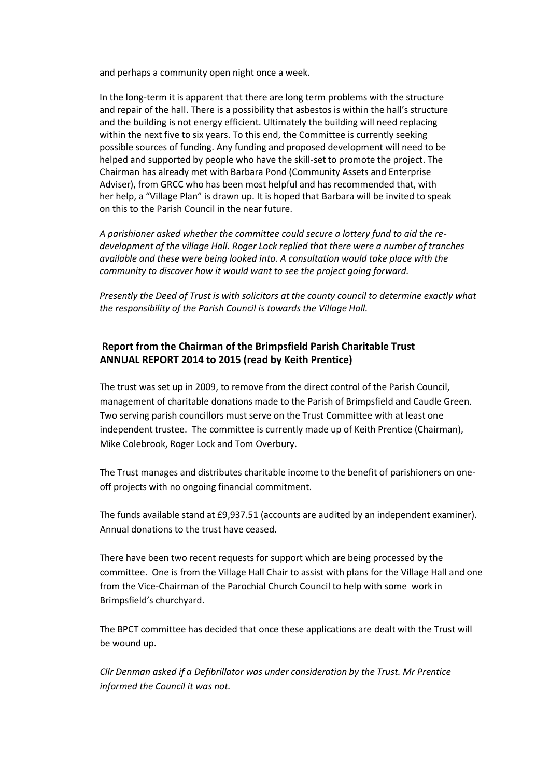and perhaps a community open night once a week.

In the long-term it is apparent that there are long term problems with the structure and repair of the hall. There is a possibility that asbestos is within the hall's structure and the building is not energy efficient. Ultimately the building will need replacing within the next five to six years. To this end, the Committee is currently seeking possible sources of funding. Any funding and proposed development will need to be helped and supported by people who have the skill-set to promote the project. The Chairman has already met with Barbara Pond (Community Assets and Enterprise Adviser), from GRCC who has been most helpful and has recommended that, with her help, a "Village Plan" is drawn up. It is hoped that Barbara will be invited to speak on this to the Parish Council in the near future.

*A parishioner asked whether the committee could secure a lottery fund to aid the redevelopment of the village Hall. Roger Lock replied that there were a number of tranches available and these were being looked into. A consultation would take place with the community to discover how it would want to see the project going forward.* 

*Presently the Deed of Trust is with solicitors at the county council to determine exactly what the responsibility of the Parish Council is towards the Village Hall.*

### **Report from the Chairman of the Brimpsfield Parish Charitable Trust ANNUAL REPORT 2014 to 2015 (read by Keith Prentice)**

The trust was set up in 2009, to remove from the direct control of the Parish Council, management of charitable donations made to the Parish of Brimpsfield and Caudle Green. Two serving parish councillors must serve on the Trust Committee with at least one independent trustee. The committee is currently made up of Keith Prentice (Chairman), Mike Colebrook, Roger Lock and Tom Overbury.

The Trust manages and distributes charitable income to the benefit of parishioners on oneoff projects with no ongoing financial commitment.

The funds available stand at £9,937.51 (accounts are audited by an independent examiner). Annual donations to the trust have ceased.

There have been two recent requests for support which are being processed by the committee. One is from the Village Hall Chair to assist with plans for the Village Hall and one from the Vice-Chairman of the Parochial Church Council to help with some work in Brimpsfield's churchyard.

The BPCT committee has decided that once these applications are dealt with the Trust will be wound up.

*Cllr Denman asked if a Defibrillator was under consideration by the Trust. Mr Prentice informed the Council it was not.*